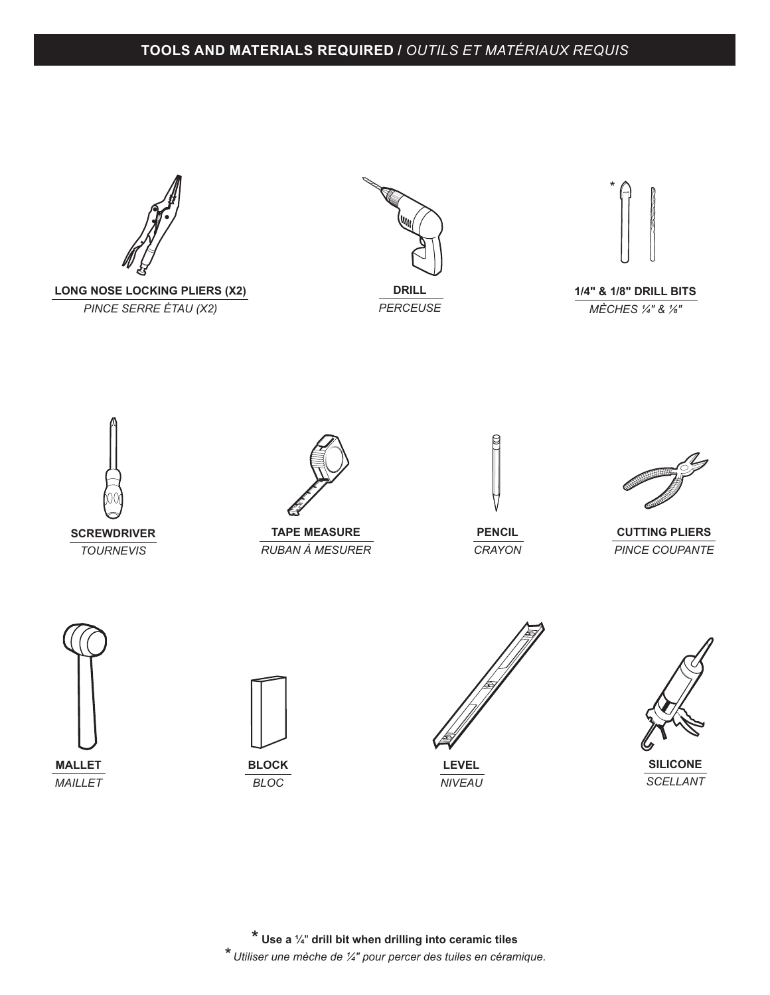## **TOOLS AND MATERIALS REQUIRED /** *OUTILS ET MATÉRIAUX REQUIS*



**MALLET** *MAILLET*



*BLOC*

**LEVEL** *NIVEAU*



\*

**\* Use a ¼**" **drill bit when drilling into ceramic tiles** *\* Utiliser une mèche de ¼" pour percer des tuiles en céramique.*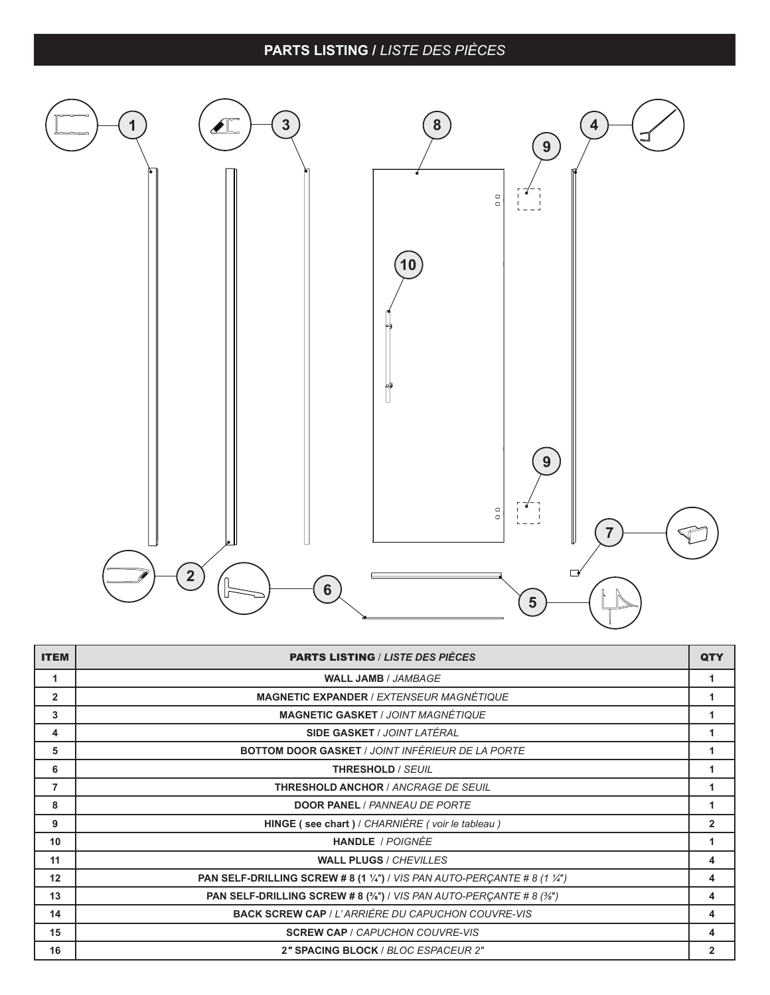## **PARTS LISTING /** *LISTE DES PIÈCES*



| <b>ITEM</b>    | <b>PARTS LISTING / LISTE DES PIÈCES</b>                                        | QTY            |
|----------------|--------------------------------------------------------------------------------|----------------|
| 1              | <b>WALL JAMB / JAMBAGE</b>                                                     |                |
| $\overline{2}$ | <b>MAGNETIC EXPANDER / EXTENSEUR MAGNÉTIQUE</b>                                |                |
| 3              | <b>MAGNETIC GASKET / JOINT MAGNÉTIQUE</b>                                      |                |
| 4              | <b>SIDE GASKET / JOINT LATÉRAL</b>                                             |                |
| 5              | <b>BOTTOM DOOR GASKET / JOINT INFÉRIEUR DE LA PORTE</b>                        | 1              |
| 6              | <b>THRESHOLD / SEUIL</b>                                                       |                |
| 7              | <b>THRESHOLD ANCHOR / ANCRAGE DE SEUIL</b>                                     | 1              |
| 8              | <b>DOOR PANEL / PANNEAU DE PORTE</b>                                           |                |
| 9              | HINGE (see chart) / CHARNIÈRE (voir le tableau)                                | $\overline{2}$ |
| 10             | <b>HANDLE</b> / POIGNÉE                                                        | 1              |
| 11             | <b>WALL PLUGS / CHEVILLES</b>                                                  | 4              |
| 12             | <b>PAN SELF-DRILLING SCREW #8 (1 1/4")</b> / VIS PAN AUTO-PERCANTE #8 (1 1/4") | 4              |
| 13             | <b>PAN SELF-DRILLING SCREW # 8 (3/8") / VIS PAN AUTO-PERCANTE # 8 (3/8")</b>   | 4              |
| 14             | <b>BACK SCREW CAP / L'ARRIÈRE DU CAPUCHON COUVRE-VIS</b>                       | 4              |
| 15             | <b>SCREW CAP / CAPUCHON COUVRE-VIS</b>                                         | 4              |
| 16             | 2" SPACING BLOCK / BLOC ESPACEUR 2"                                            | $\overline{2}$ |